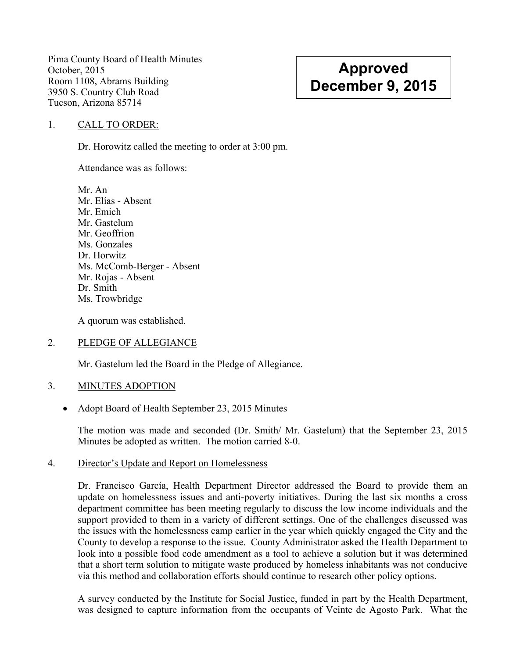Pima County Board of Health Minutes October, 2015 Room 1108, Abrams Building 3950 S. Country Club Road Tucson, Arizona 85714

# **Approved December 9, 2015**

#### 1. CALL TO ORDER:

Dr. Horowitz called the meeting to order at 3:00 pm.

Attendance was as follows:

Mr. An Mr. Elías - Absent Mr. Emich Mr. Gastelum Mr. Geoffrion Ms. Gonzales Dr. Horwitz Ms. McComb-Berger - Absent Mr. Rojas - Absent Dr. Smith Ms. Trowbridge

A quorum was established.

### 2. PLEDGE OF ALLEGIANCE

Mr. Gastelum led the Board in the Pledge of Allegiance.

#### 3. MINUTES ADOPTION

• Adopt Board of Health September 23, 2015 Minutes

The motion was made and seconded (Dr. Smith/ Mr. Gastelum) that the September 23, 2015 Minutes be adopted as written. The motion carried 8-0.

#### 4. Director's Update and Report on Homelessness

Dr. Francisco García, Health Department Director addressed the Board to provide them an update on homelessness issues and anti-poverty initiatives. During the last six months a cross department committee has been meeting regularly to discuss the low income individuals and the support provided to them in a variety of different settings. One of the challenges discussed was the issues with the homelessness camp earlier in the year which quickly engaged the City and the County to develop a response to the issue. County Administrator asked the Health Department to look into a possible food code amendment as a tool to achieve a solution but it was determined that a short term solution to mitigate waste produced by homeless inhabitants was not conducive via this method and collaboration efforts should continue to research other policy options.

A survey conducted by the Institute for Social Justice, funded in part by the Health Department, was designed to capture information from the occupants of Veinte de Agosto Park. What the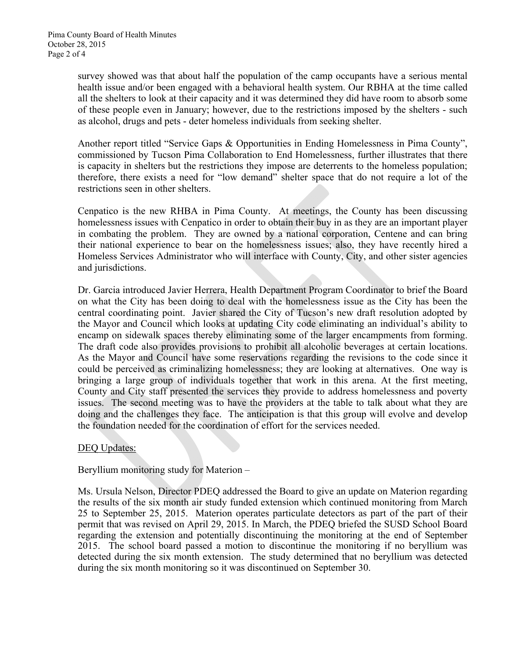survey showed was that about half the population of the camp occupants have a serious mental health issue and/or been engaged with a behavioral health system. Our RBHA at the time called all the shelters to look at their capacity and it was determined they did have room to absorb some of these people even in January; however, due to the restrictions imposed by the shelters - such as alcohol, drugs and pets - deter homeless individuals from seeking shelter.

Another report titled "Service Gaps & Opportunities in Ending Homelessness in Pima County", commissioned by Tucson Pima Collaboration to End Homelessness, further illustrates that there is capacity in shelters but the restrictions they impose are deterrents to the homeless population; therefore, there exists a need for "low demand" shelter space that do not require a lot of the restrictions seen in other shelters.

Cenpatico is the new RHBA in Pima County. At meetings, the County has been discussing homelessness issues with Cenpatico in order to obtain their buy in as they are an important player in combating the problem. They are owned by a national corporation, Centene and can bring their national experience to bear on the homelessness issues; also, they have recently hired a Homeless Services Administrator who will interface with County, City, and other sister agencies and jurisdictions.

Dr. Garcia introduced Javier Herrera, Health Department Program Coordinator to brief the Board on what the City has been doing to deal with the homelessness issue as the City has been the central coordinating point. Javier shared the City of Tucson's new draft resolution adopted by the Mayor and Council which looks at updating City code eliminating an individual's ability to encamp on sidewalk spaces thereby eliminating some of the larger encampments from forming. The draft code also provides provisions to prohibit all alcoholic beverages at certain locations. As the Mayor and Council have some reservations regarding the revisions to the code since it could be perceived as criminalizing homelessness; they are looking at alternatives. One way is bringing a large group of individuals together that work in this arena. At the first meeting, County and City staff presented the services they provide to address homelessness and poverty issues. The second meeting was to have the providers at the table to talk about what they are doing and the challenges they face. The anticipation is that this group will evolve and develop the foundation needed for the coordination of effort for the services needed.

# DEQ Updates:

Beryllium monitoring study for Materion –

Ms. Ursula Nelson, Director PDEQ addressed the Board to give an update on Materion regarding the results of the six month air study funded extension which continued monitoring from March 25 to September 25, 2015. Materion operates particulate detectors as part of the part of their permit that was revised on April 29, 2015. In March, the PDEQ briefed the SUSD School Board regarding the extension and potentially discontinuing the monitoring at the end of September 2015. The school board passed a motion to discontinue the monitoring if no beryllium was detected during the six month extension. The study determined that no beryllium was detected during the six month monitoring so it was discontinued on September 30.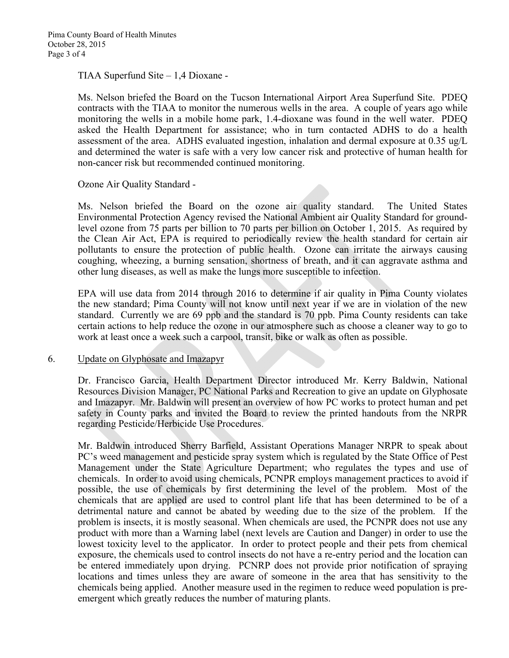TIAA Superfund Site – 1,4 Dioxane -

Ms. Nelson briefed the Board on the Tucson International Airport Area Superfund Site. PDEQ contracts with the TIAA to monitor the numerous wells in the area. A couple of years ago while monitoring the wells in a mobile home park, 1.4-dioxane was found in the well water. PDEQ asked the Health Department for assistance; who in turn contacted ADHS to do a health assessment of the area. ADHS evaluated ingestion, inhalation and dermal exposure at 0.35 ug/L and determined the water is safe with a very low cancer risk and protective of human health for non-cancer risk but recommended continued monitoring.

Ozone Air Quality Standard -

Ms. Nelson briefed the Board on the ozone air quality standard. The United States Environmental Protection Agency revised the National Ambient air Quality Standard for groundlevel ozone from 75 parts per billion to 70 parts per billion on October 1, 2015. As required by the Clean Air Act, EPA is required to periodically review the health standard for certain air pollutants to ensure the protection of public health. Ozone can irritate the airways causing coughing, wheezing, a burning sensation, shortness of breath, and it can aggravate asthma and other lung diseases, as well as make the lungs more susceptible to infection.

EPA will use data from 2014 through 2016 to determine if air quality in Pima County violates the new standard; Pima County will not know until next year if we are in violation of the new standard. Currently we are 69 ppb and the standard is 70 ppb. Pima County residents can take certain actions to help reduce the ozone in our atmosphere such as choose a cleaner way to go to work at least once a week such a carpool, transit, bike or walk as often as possible.

#### 6. Update on Glyphosate and Imazapyr

Dr. Francisco Garcia, Health Department Director introduced Mr. Kerry Baldwin, National Resources Division Manager, PC National Parks and Recreation to give an update on Glyphosate and Imazapyr. Mr. Baldwin will present an overview of how PC works to protect human and pet safety in County parks and invited the Board to review the printed handouts from the NRPR regarding Pesticide/Herbicide Use Procedures.

Mr. Baldwin introduced Sherry Barfield, Assistant Operations Manager NRPR to speak about PC's weed management and pesticide spray system which is regulated by the State Office of Pest Management under the State Agriculture Department; who regulates the types and use of chemicals. In order to avoid using chemicals, PCNPR employs management practices to avoid if possible, the use of chemicals by first determining the level of the problem. Most of the chemicals that are applied are used to control plant life that has been determined to be of a detrimental nature and cannot be abated by weeding due to the size of the problem. If the problem is insects, it is mostly seasonal. When chemicals are used, the PCNPR does not use any product with more than a Warning label (next levels are Caution and Danger) in order to use the lowest toxicity level to the applicator. In order to protect people and their pets from chemical exposure, the chemicals used to control insects do not have a re-entry period and the location can be entered immediately upon drying. PCNRP does not provide prior notification of spraying locations and times unless they are aware of someone in the area that has sensitivity to the chemicals being applied. Another measure used in the regimen to reduce weed population is preemergent which greatly reduces the number of maturing plants.